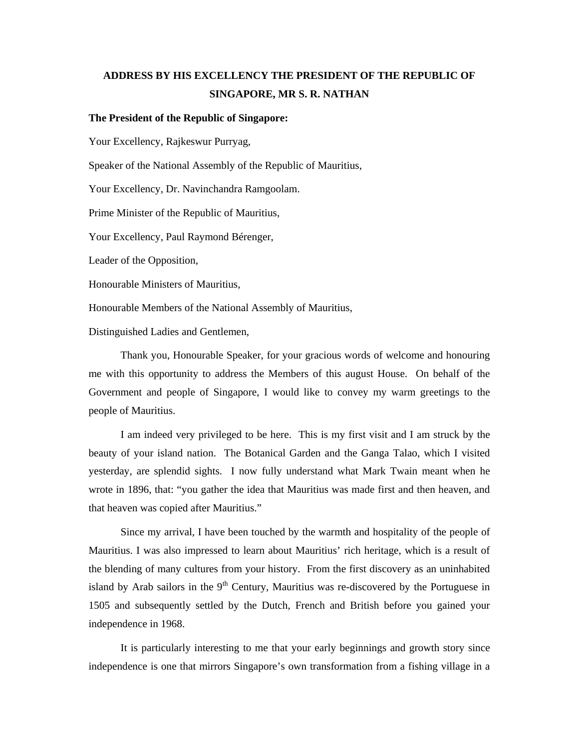## **ADDRESS BY HIS EXCELLENCY THE PRESIDENT OF THE REPUBLIC OF SINGAPORE, MR S. R. NATHAN**

## **The President of the Republic of Singapore:**

Your Excellency, Rajkeswur Purryag,

Speaker of the National Assembly of the Republic of Mauritius,

Your Excellency, Dr. Navinchandra Ramgoolam.

Prime Minister of the Republic of Mauritius,

Your Excellency, Paul Raymond Bérenger,

Leader of the Opposition,

Honourable Ministers of Mauritius,

Honourable Members of the National Assembly of Mauritius,

Distinguished Ladies and Gentlemen,

Thank you, Honourable Speaker, for your gracious words of welcome and honouring me with this opportunity to address the Members of this august House. On behalf of the Government and people of Singapore, I would like to convey my warm greetings to the people of Mauritius.

I am indeed very privileged to be here. This is my first visit and I am struck by the beauty of your island nation. The Botanical Garden and the Ganga Talao, which I visited yesterday, are splendid sights. I now fully understand what Mark Twain meant when he wrote in 1896, that: "you gather the idea that Mauritius was made first and then heaven, and that heaven was copied after Mauritius."

Since my arrival, I have been touched by the warmth and hospitality of the people of Mauritius. I was also impressed to learn about Mauritius' rich heritage, which is a result of the blending of many cultures from your history. From the first discovery as an uninhabited island by Arab sailors in the  $9<sup>th</sup>$  Century, Mauritius was re-discovered by the Portuguese in 1505 and subsequently settled by the Dutch, French and British before you gained your independence in 1968.

It is particularly interesting to me that your early beginnings and growth story since independence is one that mirrors Singapore's own transformation from a fishing village in a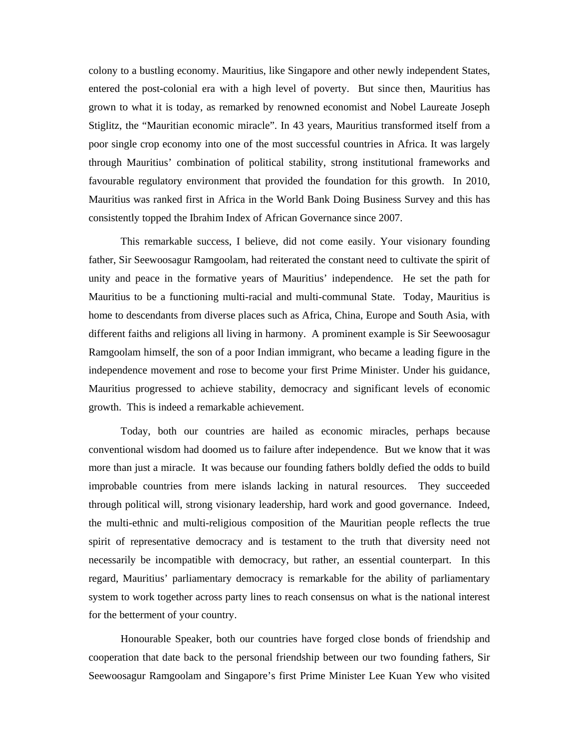colony to a bustling economy. Mauritius, like Singapore and other newly independent States, entered the post-colonial era with a high level of poverty. But since then, Mauritius has grown to what it is today, as remarked by renowned economist and Nobel Laureate Joseph Stiglitz, the "Mauritian economic miracle". In 43 years, Mauritius transformed itself from a poor single crop economy into one of the most successful countries in Africa. It was largely through Mauritius' combination of political stability, strong institutional frameworks and favourable regulatory environment that provided the foundation for this growth. In 2010, Mauritius was ranked first in Africa in the World Bank Doing Business Survey and this has consistently topped the Ibrahim Index of African Governance since 2007.

This remarkable success, I believe, did not come easily. Your visionary founding father, Sir Seewoosagur Ramgoolam, had reiterated the constant need to cultivate the spirit of unity and peace in the formative years of Mauritius' independence. He set the path for Mauritius to be a functioning multi-racial and multi-communal State. Today, Mauritius is home to descendants from diverse places such as Africa, China, Europe and South Asia, with different faiths and religions all living in harmony. A prominent example is Sir Seewoosagur Ramgoolam himself, the son of a poor Indian immigrant, who became a leading figure in the independence movement and rose to become your first Prime Minister. Under his guidance, Mauritius progressed to achieve stability, democracy and significant levels of economic growth. This is indeed a remarkable achievement.

 Today, both our countries are hailed as economic miracles, perhaps because conventional wisdom had doomed us to failure after independence. But we know that it was more than just a miracle. It was because our founding fathers boldly defied the odds to build improbable countries from mere islands lacking in natural resources. They succeeded through political will, strong visionary leadership, hard work and good governance. Indeed, the multi-ethnic and multi-religious composition of the Mauritian people reflects the true spirit of representative democracy and is testament to the truth that diversity need not necessarily be incompatible with democracy, but rather, an essential counterpart. In this regard, Mauritius' parliamentary democracy is remarkable for the ability of parliamentary system to work together across party lines to reach consensus on what is the national interest for the betterment of your country.

 Honourable Speaker, both our countries have forged close bonds of friendship and cooperation that date back to the personal friendship between our two founding fathers, Sir Seewoosagur Ramgoolam and Singapore's first Prime Minister Lee Kuan Yew who visited